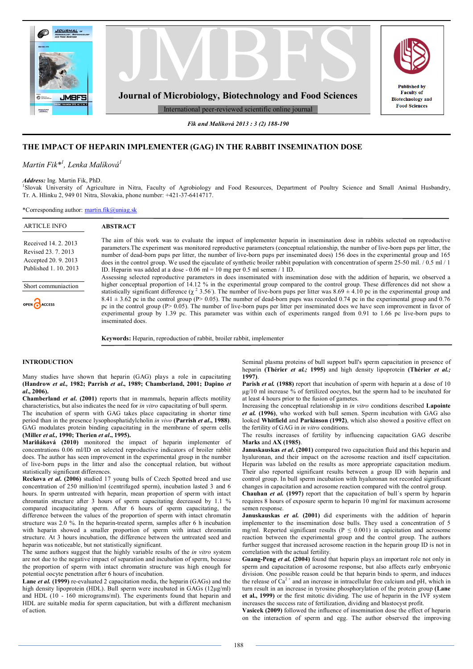

*Fik and Malíková 2013 : 3 (2) 188-190*

# **THE IMPACT OF HEPARIN IMPLEMENTER (GAG) IN THE RABBIT INSEMINATION DOSE**

*Martin Fik\*<sup>1</sup> , Lenka Malíková<sup>1</sup>*

### *Address:* Ing. Martin Fik, PhD.

1 Slovak University of Agriculture in Nitra, Faculty of Agrobiology and Food Resources, Department of Poultry Science and Small Animal Husbandry, Tr. A. Hlinku 2, 949 01 Nitra, Slovakia, phone number: +421-37-6414717.

\*Corresponding author: martin.fik@uniag.sk

| <b>ARTICLE INFO</b>                                                                          | <b>ABSTRACT</b>                                                                                                                                                                                                                                                                                                                                                                                                                                                                                                                                                                                                                                    |
|----------------------------------------------------------------------------------------------|----------------------------------------------------------------------------------------------------------------------------------------------------------------------------------------------------------------------------------------------------------------------------------------------------------------------------------------------------------------------------------------------------------------------------------------------------------------------------------------------------------------------------------------------------------------------------------------------------------------------------------------------------|
| Received 14, 2, 2013<br>Revised 23, 7, 2013<br>Accepted 20, 9, 2013<br>Published 1, 10, 2013 | The aim of this work was to evaluate the impact of implementer heparin in insemination dose in rabbits selected on reproductive<br>parameters. The experiment was monitored reproductive parameters (conceptual relationship, the number of live-born pups per litter, the<br>number of dead-born pups per litter, the number of live-born pups per inseminated does) 156 does in the experimental group and 165<br>does in the control group. We used the ejaculate of synthetic broiler rabbit population with concentration of sperm 25-50 mil. $/ 0.5$ ml $/ 1$<br>ID. Heparin was added at a dose $-0.06$ ml = 10 mg per 0.5 ml semen / 1 ID. |
| Short communiaction                                                                          | Assessing selected reproductive parameters in does inseminated with insemination dose with the addition of heparin, we observed a<br>higher conceptual proportion of 14.12 % in the experimental group compared to the control group. These differences did not show a                                                                                                                                                                                                                                                                                                                                                                             |
| OPEN ACCESS                                                                                  | statistically significant difference ( $\chi^2$ 3.56). The number of live-born pups per litter was 8.69 $\pm$ 4.10 pc in the experimental group and<br>$8.41 \pm 3.62$ pc in the control group (P> 0.05). The number of dead-born pups was recorded 0.74 pc in the experimental group and 0.76<br>pc in the control group ( $P > 0.05$ ). The number of live-born pups per litter per inseminated does we have seen improvement in favor of<br>experimental group by 1.39 pc. This parameter was within each of experiments ranged from 0.91 to 1.66 pc live-born pups to<br>inseminated does.                                                     |
|                                                                                              | <b>Keywords:</b> Heparin, reproduction of rabbit, broiler rabbit, implementer                                                                                                                                                                                                                                                                                                                                                                                                                                                                                                                                                                      |

## **INTRODUCTION**

Many studies have shown that heparin (GAG) plays a role in capacitating **(Handrow** *et al.,* **1982; Parrish** *et al***., 1989; Chamberland, 2001; Dapino** *et al***., 2006).**

**Chamberland** *et al***. (2001)** reports that in mammals, heparin affects motility characteristics, but also indicates the need for *in vitro* capacitating of bull sperm. The incubation of sperm with GAG takes place capacitating in shorter time

period than in the presence lysophosphatidylcholin *in vivo* **(Parrish** *et al***., 1988)**. GAG modulates protein binding capacitating in the membrane of sperm cells **(Miller** *et al.,* **1990; Therien** *et al***., 1995).**

**Mariňáková (2010)** monitored the impact of heparin implementer of concentrations 0.06 ml/ID on selected reproductive indicators of broiler rabbit does. The author has seen improvement in the experimental group in the number of live-born pups in the litter and also the conceptual relation, but without statistically significant differences.

**Reckova** *et al***. (2006)** studied 17 young bulls of Czech Spotted breed and use concentration of 250 million/ml (centrifuged sperm), incubation lasted 3 and 6 hours. In sperm untreated with heparin, mean proportion of sperm with intact chromatin structure after 3 hours of sperm capacitating decreased by 1.1 % compared incapacitating sperm. After 6 hours of sperm capacitating, the difference between the values of the proportion of sperm with intact chromatin structure was 2.0 %. In the heparin-treated sperm, samples after 6 h incubation with heparin showed a smaller proportion of sperm with intact chromatin structure. At 3 hours incubation, the difference between the untreated seed and heparin was noticeable, but not statistically significant.

The same authors suggest that the highly variable results of the *in vitro* system are not due to the negative impact of separation and incubation of sperm, because the proportion of sperm with intact chromatin structure was high enough for potential oocyte penetration after 6 hours of incubation.

**Lane** *et al.* **(1999)** re-evaluated 2 capacitation media, the heparin (GAGs) and the high density lipoprotein (HDL). Bull sperm were incubated in GAGs (12μg/ml) and HDL (10 - 160 micrograms/ml). The experiments found that heparin and HDL are suitable media for sperm capacitation, but with a different mechanism of action.

Seminal plasma proteins of bull support bull's sperm capacitation in presence of heparin **(Thérier** *et al.;* **1995)** and high density lipoprotein **(Thérier** *et al.;* **1997)**.

**Parish** *et al.* (1988) report that incubation of sperm with heparin at a dose of 10 μg/10 ml increase % of fertilized oocytes, but the sperm had to be incubated for at least 4 hours prior to the fusion of gametes.

Increasing the conceptual relationship in *in vitro* conditions described **Lapointe**  *et al.* **(1996)**, who worked with bull semen. Sperm incubation with GAG also looked **Whitfield** and **Parkinson (1992)**, which also showed a positive effect on the fertility of GAG in *in vitro* conditions.

The results increases of fertility by influencing capacitation GAG describe **Marks** and **AX (1985)**.

**Januskauskas** *et al***. (2001)** compared two capacitation fluid and this heparin and hyaluronan, and their impact on the acrosome reaction and itself capacitation. Heparin was labeled on the results as more appropriate capacitation medium. Their also reported significant results between a group ID with heparin and control group. In bull sperm incubation with hyaluronan not recorded significant changes in capacitation and acrosome reaction compared with the control group.

**Chauhan** *et al.* **(1997)** report that the capacitation of bull´s sperm by heparin requires 8 hours of exposure sperm to heparin 10 mg/ml for maximum acrosome semen response.

**Januskauskas** *et al.* **(2001)** did experiments with the addition of heparin implementer to the insemination dose bulls. They used a concentration of 5 mg/ml. Reported significant results ( $P \leq 0.001$ ) in capicitation and acrosome reaction between the experimental group and the control group. The authors further suggest that increased acrosome reaction in the heparin group ID is not in correlation with the actual fertility.

**Guang-Peng** *et al.* **(2004)** found that heparin plays an important role not only in sperm and capacitation of acrosome response, but also affects early embryonic division. One possible reason could be that heparin binds to sperm, and induces the release of  $Ca^{2+}$  and an increase in intracellular free calcium and pH, which in turn result in an increase in tyrosine phosphorylation of the protein group **(Lane et al., 1999)** or the first mitotic dividing. The use of heparin in the IVF system increases the success rate of fertilization, dividing and blastocyst profit.

**Vasicek (2009)** followed the influence of insemination dose the effect of heparin on the interaction of sperm and egg. The author observed the improving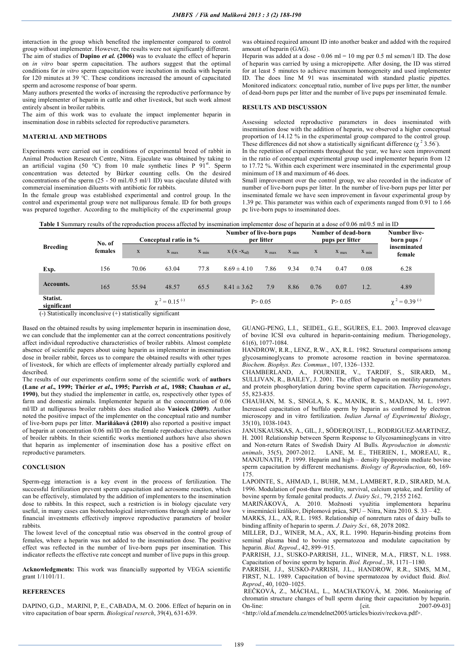interaction in the group which benefited the implementer compared to control group without implementer. However, the results were not significantly different. The aim of studies of **Dapino** *et al.* **(2006)** was to evaluate the effect of heparin on *in vitro* boar sperm capacitation. The authors suggest that the optimal conditions for *in vitro* sperm capacitation were incubation in media with heparin for 120 minutes at 39 °C. These conditions increased the amount of capacitated sperm and acrosome response of boar sperm.

Many authors presented the works of increasing the reproductive performance by using implementer of heparin in cattle and other livestock, but such work almost entirely absent in broiler rabbits.

The aim of this work was to evaluate the impact implementer heparin in insemination dose in rabbits selected for reproductive parameters.

## **MATERIAL AND METHODS**

Experiments were carried out in conditions of experimental breed of rabbit in Animal Production Research Centre, Nitra. Ejaculate was obtained by taking to an artificial vagina (50 °C) from 10 male synthetic lines P  $91<sup>st</sup>$ . Sperm concentration was detected by Bürker counting cells. On the desired concentrations of the sperm  $(25 - 50 \text{ mil} / 0.5 \text{ ml} / 1 \text{ ID})$  was ejaculate diluted with commercial insemination diluents with antibiotic for rabbits.

In the female group was established experimental and control group. In the control and experimental group were not nulliparous female. ID for both groups was prepared together. According to the multiplicity of the experimental group was obtained required amount ID into another beaker and added with the required amount of heparin (GAG).

Heparin was added at a dose - 0.06 ml = 10 mg per 0.5 ml semen/1 ID. The dose of heparin was carried by using a micropipette. After dosing, the ID was stirred for at least 5 minutes to achieve maximum homogeneity and used implementer ID. The does line M 91 was inseminated with standard plastic pipettes. Monitored indicators: conceptual ratio, number of live pups per litter, the number of dead-born pups per litter and the number of live pups per inseminated female.

#### **RESULTS AND DISCUSSION**

Assessing selected reproductive parameters in does inseminated with insemination dose with the addition of heparin, we observed a higher conceptual proportion of 14.12 % in the experimental group compared to the control group. These differences did not show a statistically significant difference  $(\chi^2 3.56)$ .

In the repetition of experiments throughout the year, we have seen improvement in the ratio of conceptual experimental group used implementer heparin from 12 to 17.72 %. Within each experiment were inseminated in the experimental group minimum of 18 and maximum of 46 does.

Small improvement over the control group, we also recorded in the indicator of number of live-born pups per litter. In the number of live-born pups per litter per inseminated female we have seen improvement in favour experimental group by 1.39 pc. This parameter was within each of experiments ranged from 0.91 to 1.66 pc live-born pups to inseminated does.

| Table 1 Summary results of the reproduction process affected by insemination implementer dose of heparin at a dose of 0.06 ml/0.5 ml in ID |  |
|--------------------------------------------------------------------------------------------------------------------------------------------|--|
|--------------------------------------------------------------------------------------------------------------------------------------------|--|

| <b>Breeding</b>         | No. of<br>females |                                | Conceptual ratio in % |                    | Number of live-born pups<br>per litter |           |           | Number of dead-born<br>pups per litter |           |           | <b>Number live-</b><br>born pups / |
|-------------------------|-------------------|--------------------------------|-----------------------|--------------------|----------------------------------------|-----------|-----------|----------------------------------------|-----------|-----------|------------------------------------|
|                         |                   | X                              | $X_{max}$             | $X$ <sub>min</sub> | $X(X-X_{sd})$                          | $X_{max}$ | $X_{min}$ | $\mathbf X$                            | $X_{max}$ | $X_{min}$ | inseminated<br>female              |
| Exp.                    | 156               | 70.06                          | 63.04                 | 77.8               | $8.69 \pm 4.10$                        | 7.86      | 9.34      | 0.74                                   | 0.47      | 0.08      | 6.28                               |
| Accounts.               | 165               | 55.94                          | 48.57                 | 65.5               | $8.41 \pm 3.62$                        | 7.9       | 8.86      | 0.76                                   | 0.07      | 1.2.      | 4.89                               |
| Statist.<br>significant |                   | $\chi^2 = 0.15$ <sup>(-)</sup> |                       |                    | P > 0.05                               |           |           | P > 0.05                               |           |           | $\chi^2 = 0.39$ <sup>(-)</sup>     |

(-) Statistically inconclusive (+) statistically significant

Based on the obtained results by using implementer heparin in insemination dose, we can conclude that the implementer can at the correct concentrations positively affect individual reproductive characteristics of broiler rabbits. Almost complete absence of scientific papers about using heparin as implementer in insemination dose in broiler rabbit, forces us to compare the obtained results with other types of livestock, for which are effects of implementer already partially explored and described.

The results of our experiments confirm some of the scientific work of **authors (Lane** *et al***., 1999; Thérier** *et al***., 1995; Parrish** *et al.,* **1988; Chauhan** *et al.,* **1990)**, but they studied the implementer in cattle, ox, respectively other types of farm and domestic animals. Implementer heparin at the concentration of 0.06 ml/ID at nulliparous broiler rabbits does studied also **Vasicek (2009)**. Author noted the positive impact of the implementer on the conceptual ratio and number of live-born pups per litter. **Mariňáková (2010)** also reported a positive impact of heparin at concentration 0.06 ml/ID on the female reproductive characteristics of broiler rabbits. In their scientific works mentioned authors have also shown that heparin as implementer of insemination dose has a positive effect on reproductive parameters.

#### **CONCLUSION**

Sperm-egg interaction is a key event in the process of fertilization. The successful fertilization prevent sperm capacitation and acrosome reaction, which can be effectively, stimulated by the addition of implementers to the insemination dose to rabbits. In this respect, such a restriction is in biology ejaculate very useful, in many cases can biotechnological interventions through simple and low financial investments effectively improve reproductive parameters of broiler rabbits.

The lowest level of the conceptual ratio was observed in the control group of females, where a heparin was not added to the insemination dose. The positive effect was reflected in the number of live-born pups per insemination. This indicator reflects the effective rate concept and number of live pups in this group.

**Acknowledgments:** This work was financially supported by VEGA scientific grant 1/1101/11.

## **REFERENCES**

DAPINO, G,D., MARINI, P, E., CABADA, M. O. 2006. Effect of heparin on in vitro capacitation of boar sperm. *Biological reserch*, 39(4), 631-639.

GUANG-PENG, L.I., SEIDEL, G.E., SGURES, E.L. 2003. Improved cleavage of bovine ICSI ova cultured in heparin-containing medium. Theriogenology, 61(6), 1077-1084.

HANDROW, R.R., LENZ, R.W., AX, R.L. 1982. Structural comparisons among glycosaminoglycans to promote acrosome reaction in bovine spermatozoa. *Biochem. Biophys. Res. Commun*., 107, 1326–1332.

CHAMBERLAND, A., FOURNIER, V., TARDIF, S., SIRARD, M., SULLIVAN, R., BAILEY, J. 2001. The effect of heparin on motility parameters and protein phosphorylation during bovine sperm capacitation. *Theriogenology*, 55, 823-835.

CHAUHAN, M. S., SINGLA, S. K., MANIK, R. S., MADAN, M. L. 1997. Increased capacitation of buffalo sperm by heparin as confirmed by electron microscopy and in vitro fertilization. *Indian Jurnal of Experimental Biology*, 35(10), 1038-1043.

JANUSKAUSKAS, A., GIL, J., SÖDERQUIST, L., RODRIGUEZ-MARTINEZ, H. 2001 Relationship between Sperm Response to Glycosaminoglycans in vitro and Non-return Rates of Swedish Dairy AI Bulls. *Reproduction in domestic animals*, 35(5), 2007-2012. LANE, M. E., THERIEN, I., MOREAU, R., MANJUNATH, P. 1999. Heparin and high – density lipoprotein mediate bovine sperm capacitation by different mechanisms. *Biology of Reproduction,* 60, 169- 175.

LAPOINTE, S., AHMAD, I., BUHR, M.M., LAMBERT, R.D., SIRARD, M.A. 1996. Modulation of post-thaw motility, survival, calcium uptake, and fertility of bovine sperm by female genital products. *J. Dairy Sci.,* 79, 2155 2162.

MARIŇÁKOVÁ, A. 2010. Možnosti využitia implementora heparínu v inseminácií králikov, Diplomová práca, SPU – Nitra, Nitra 2010. S. 33 – 42.

MARKS, J.L., AX, R.L. 1985. Relationship of nonreturn rates of dairy bulls to binding affinity of heparin to sperm. *J. Dairy Sci.,* 68, 2078 2082.

MILLER, D.J., WINER, M.A., AX, R.L. 1990. Heparin-binding proteins from seminal plasma bind to bovine spermatozoa and modulate capacitation by heparin. *Biol. Reprod*., 42, 899–915.

PARRISH, J.J., SUSKO-PARRISH, J.L., WINER, M.A., FIRST, N.L. 1988. Capacitation of bovine sperm by heparin. *Biol. Reprod.*, 38, 1171–1180.

PARRISH, J.J., SUSKO-PARRISH, J.L., HANDROW, R.R., SIMS, M.M., FIRST, N.L. 1989. Capacitation of bovine spermatozoa by oviduct fluid. *Biol. Reprod*., 40, 1020–1025.

REČKOVÁ, Z., MÁCHAL, L., MACHATKOVÁ, M. 2006. Monitoring of chromatin structure changes of bull sperm during their capacitation by heparin. On-line: [cit. 2007-09-03]

<http://old.af.mendelu.cz/mendelnet2005/articles/bioziv/reckova.pdf>.